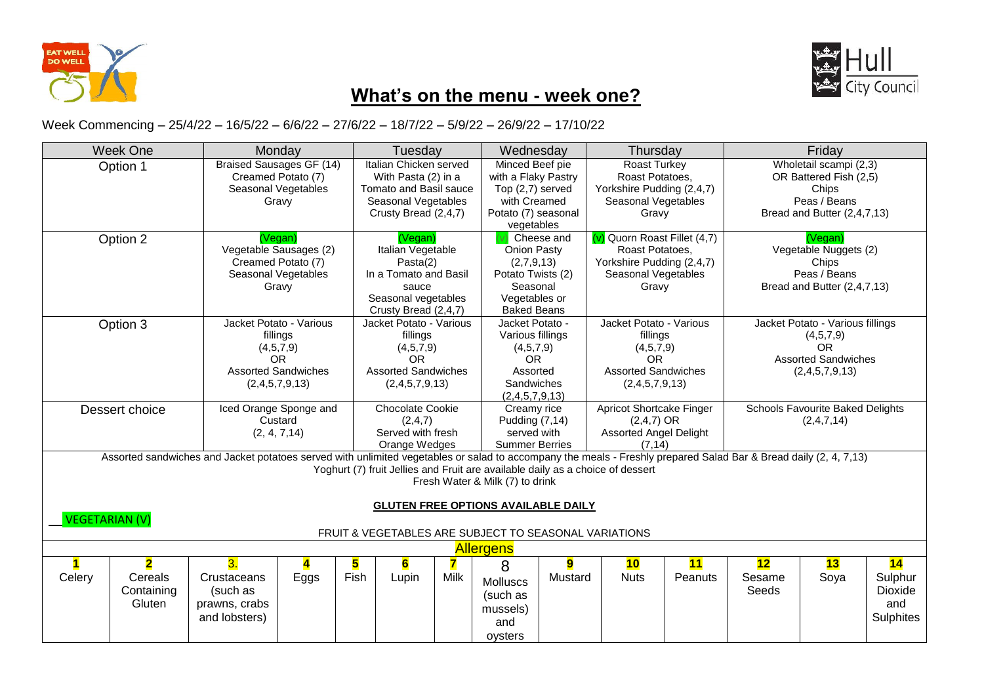



## **What's on the menu - week one?**

Week Commencing – 25/4/22 – 16/5/22 – 6/6/22 – 27/6/22 – 18/7/22 – 5/9/22 – 26/9/22 – 17/10/22

|                                                                                                                                                                  | <b>Week One</b><br>Monday                                      |          |                                              | Tuesday         |                                         |                    | Wednesday                                  |                              | Thursday                                                                       |                                  | Friday                                  |                             |         |
|------------------------------------------------------------------------------------------------------------------------------------------------------------------|----------------------------------------------------------------|----------|----------------------------------------------|-----------------|-----------------------------------------|--------------------|--------------------------------------------|------------------------------|--------------------------------------------------------------------------------|----------------------------------|-----------------------------------------|-----------------------------|---------|
| Option 1                                                                                                                                                         |                                                                |          | <b>Braised Sausages GF (14)</b>              |                 | Italian Chicken served                  |                    |                                            | Minced Beef pie              |                                                                                | <b>Roast Turkey</b>              |                                         | Wholetail scampi (2,3)      |         |
|                                                                                                                                                                  |                                                                |          | Creamed Potato (7)                           |                 | With Pasta (2) in a                     |                    | with a Flaky Pastry                        |                              | Roast Potatoes,                                                                |                                  | OR Battered Fish (2,5)                  |                             |         |
|                                                                                                                                                                  |                                                                |          | Seasonal Vegetables                          |                 | Tomato and Basil sauce                  |                    |                                            | Top (2,7) served             |                                                                                | Yorkshire Pudding (2,4,7)        |                                         | Chips                       |         |
|                                                                                                                                                                  |                                                                |          | Gravy                                        |                 | Seasonal Vegetables                     |                    |                                            | with Creamed                 |                                                                                | Seasonal Vegetables              |                                         | Peas / Beans                |         |
|                                                                                                                                                                  |                                                                |          |                                              |                 | Crusty Bread (2,4,7)                    |                    | Potato (7) seasonal                        |                              | Gravy                                                                          |                                  | Bread and Butter (2,4,7,13)             |                             |         |
|                                                                                                                                                                  |                                                                |          |                                              |                 |                                         |                    | vegetables                                 | Cheese and                   |                                                                                |                                  |                                         |                             |         |
| Option 2                                                                                                                                                         |                                                                |          | (Vegan)                                      |                 |                                         | (Vegan)            |                                            |                              | $(v)$ Quorn Roast Fillet $(4,7)$                                               |                                  | (Vegan)                                 |                             |         |
|                                                                                                                                                                  |                                                                |          | Vegetable Sausages (2)                       |                 | Italian Vegetable                       |                    |                                            | Onion Pasty                  |                                                                                | Roast Potatoes,                  | Vegetable Nuggets (2)                   |                             |         |
|                                                                                                                                                                  |                                                                |          | Creamed Potato (7)                           |                 | Pasta(2)                                |                    | (2,7,9,13)                                 |                              | Yorkshire Pudding (2,4,7)                                                      |                                  | Chips                                   |                             |         |
|                                                                                                                                                                  |                                                                |          | Seasonal Vegetables                          |                 | In a Tomato and Basil                   |                    |                                            | Potato Twists (2)            |                                                                                | Seasonal Vegetables              | Peas / Beans                            |                             |         |
|                                                                                                                                                                  |                                                                |          | Gravy                                        |                 | sauce                                   |                    |                                            | Seasonal                     |                                                                                | Gravy                            |                                         | Bread and Butter (2,4,7,13) |         |
|                                                                                                                                                                  |                                                                |          |                                              |                 | Seasonal vegetables                     |                    | Vegetables or                              |                              |                                                                                |                                  |                                         |                             |         |
|                                                                                                                                                                  |                                                                |          |                                              |                 | Crusty Bread (2,4,7)                    | <b>Baked Beans</b> |                                            |                              |                                                                                |                                  |                                         |                             |         |
|                                                                                                                                                                  | Option 3                                                       |          | Jacket Potato - Various                      |                 | Jacket Potato - Various                 | Jacket Potato -    |                                            | Jacket Potato - Various      |                                                                                | Jacket Potato - Various fillings |                                         |                             |         |
|                                                                                                                                                                  |                                                                |          | fillings                                     |                 | fillings                                |                    |                                            | Various fillings             |                                                                                | fillings                         |                                         | (4,5,7,9)                   |         |
|                                                                                                                                                                  |                                                                |          | (4,5,7,9)                                    |                 | (4,5,7,9)                               |                    | (4,5,7,9)                                  |                              | (4,5,7,9)                                                                      |                                  | <b>OR</b>                               |                             |         |
|                                                                                                                                                                  |                                                                |          | <b>OR</b>                                    |                 | <b>OR</b><br><b>Assorted Sandwiches</b> |                    |                                            | <b>OR</b>                    |                                                                                | <b>OR</b>                        |                                         | <b>Assorted Sandwiches</b>  |         |
|                                                                                                                                                                  |                                                                |          | <b>Assorted Sandwiches</b><br>(2,4,5,7,9,13) |                 |                                         |                    |                                            | Assorted                     |                                                                                | <b>Assorted Sandwiches</b>       |                                         | (2,4,5,7,9,13)              |         |
|                                                                                                                                                                  |                                                                |          |                                              |                 | (2,4,5,7,9,13)                          |                    |                                            | Sandwiches<br>(2,4,5,7,9,13) |                                                                                | (2,4,5,7,9,13)                   |                                         |                             |         |
|                                                                                                                                                                  |                                                                |          |                                              |                 |                                         |                    |                                            |                              |                                                                                |                                  | <b>Schools Favourite Baked Delights</b> |                             |         |
|                                                                                                                                                                  | Dessert choice                                                 |          | Iced Orange Sponge and                       |                 | <b>Chocolate Cookie</b>                 |                    | Creamy rice                                |                              | <b>Apricot Shortcake Finger</b>                                                |                                  |                                         |                             |         |
|                                                                                                                                                                  |                                                                |          | Custard                                      |                 | (2,4,7)                                 |                    | Pudding (7,14)                             |                              | $(2,4,7)$ OR                                                                   |                                  |                                         | (2,4,7,14)                  |         |
|                                                                                                                                                                  |                                                                |          | (2, 4, 7, 14)                                |                 | Served with fresh                       |                    | served with                                |                              | <b>Assorted Angel Delight</b>                                                  |                                  |                                         |                             |         |
| Assorted sandwiches and Jacket potatoes served with unlimited vegetables or salad to accompany the meals - Freshly prepared Salad Bar & Bread daily (2, 4, 7,13) |                                                                |          |                                              |                 | Orange Wedges                           |                    | <b>Summer Berries</b>                      |                              | (7.14)                                                                         |                                  |                                         |                             |         |
|                                                                                                                                                                  |                                                                |          |                                              |                 |                                         |                    |                                            |                              | Yoghurt (7) fruit Jellies and Fruit are available daily as a choice of dessert |                                  |                                         |                             |         |
|                                                                                                                                                                  |                                                                |          |                                              |                 |                                         |                    |                                            |                              |                                                                                |                                  |                                         |                             |         |
|                                                                                                                                                                  |                                                                |          |                                              |                 |                                         |                    | Fresh Water & Milk (7) to drink            |                              |                                                                                |                                  |                                         |                             |         |
|                                                                                                                                                                  |                                                                |          |                                              |                 |                                         |                    | <b>GLUTEN FREE OPTIONS AVAILABLE DAILY</b> |                              |                                                                                |                                  |                                         |                             |         |
|                                                                                                                                                                  |                                                                |          |                                              |                 |                                         |                    |                                            |                              |                                                                                |                                  |                                         |                             |         |
|                                                                                                                                                                  | <b>VEGETARIAN (V)</b>                                          |          |                                              |                 |                                         |                    |                                            |                              | FRUIT & VEGETABLES ARE SUBJECT TO SEASONAL VARIATIONS                          |                                  |                                         |                             |         |
|                                                                                                                                                                  |                                                                |          |                                              |                 |                                         |                    |                                            |                              |                                                                                |                                  |                                         |                             |         |
|                                                                                                                                                                  |                                                                |          |                                              |                 |                                         |                    | <b>Allergens</b>                           |                              |                                                                                |                                  |                                         |                             |         |
| $\blacksquare$                                                                                                                                                   | $\overline{\mathbf{2}}$                                        | 3.       | 4                                            | 5               | 6                                       |                    | 8                                          | 9                            | 10                                                                             | 11                               | 12                                      | 13                          | 14      |
| Celery                                                                                                                                                           | Fish<br><b>Milk</b><br>Lupin<br>Cereals<br>Crustaceans<br>Eggs |          |                                              | <b>Molluscs</b> | Mustard                                 | <b>Nuts</b>        | Peanuts                                    | Sesame                       | Soya                                                                           | Sulphur                          |                                         |                             |         |
|                                                                                                                                                                  | Containing                                                     | (such as |                                              |                 |                                         |                    | (such as                                   |                              |                                                                                |                                  | Seeds                                   |                             | Dioxide |
|                                                                                                                                                                  | Gluten<br>prawns, crabs                                        |          |                                              | mussels)        |                                         |                    |                                            |                              |                                                                                | and                              |                                         |                             |         |
|                                                                                                                                                                  | and lobsters)                                                  |          | and                                          |                 |                                         |                    |                                            |                              | Sulphites                                                                      |                                  |                                         |                             |         |
|                                                                                                                                                                  |                                                                |          |                                              |                 |                                         |                    |                                            |                              |                                                                                |                                  |                                         |                             |         |
|                                                                                                                                                                  |                                                                |          |                                              |                 |                                         |                    | oysters                                    |                              |                                                                                |                                  |                                         |                             |         |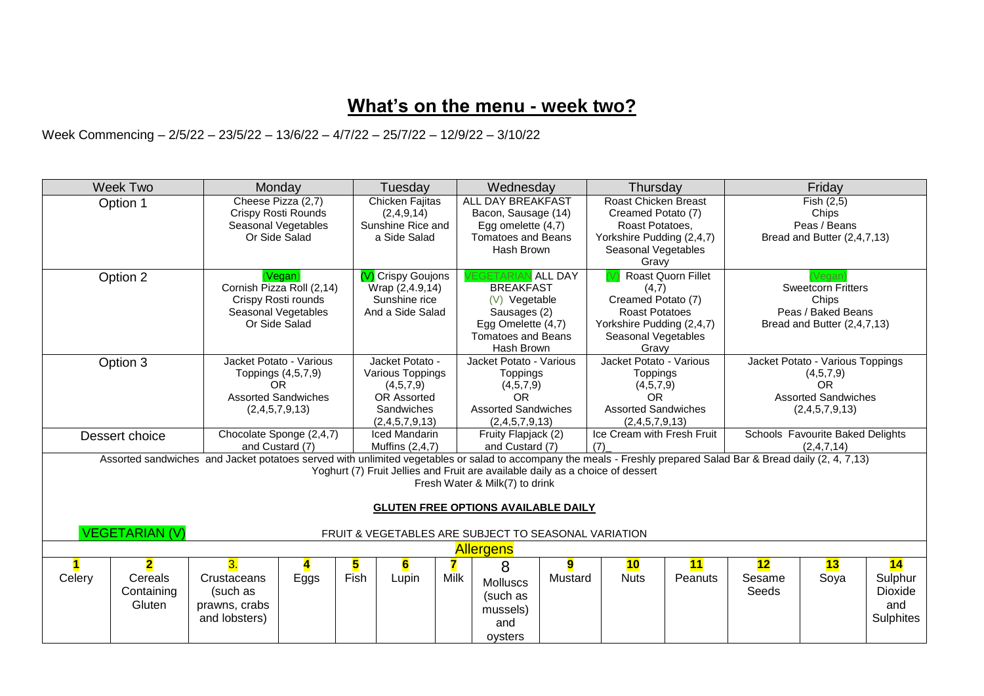## **What's on the menu - week two?**

Week Commencing – 2/5/22 – 23/5/22 – 13/6/22 – 4/7/22 – 25/7/22 – 12/9/22 – 3/10/22

| <b>Week Two</b><br>Monday                                                                                                                                                                                                                                                                                                                                                                                           |                                      | Tuesday                                                                                                    |                                                                                                        | Wednesday                                                          |                                                                                                                                                                                                        | Thursday                                                                                                  |                                                                                                                                         | Friday                                                                                                                     |                                                                                                            |                                                                    |                                                |                                              |
|---------------------------------------------------------------------------------------------------------------------------------------------------------------------------------------------------------------------------------------------------------------------------------------------------------------------------------------------------------------------------------------------------------------------|--------------------------------------|------------------------------------------------------------------------------------------------------------|--------------------------------------------------------------------------------------------------------|--------------------------------------------------------------------|--------------------------------------------------------------------------------------------------------------------------------------------------------------------------------------------------------|-----------------------------------------------------------------------------------------------------------|-----------------------------------------------------------------------------------------------------------------------------------------|----------------------------------------------------------------------------------------------------------------------------|------------------------------------------------------------------------------------------------------------|--------------------------------------------------------------------|------------------------------------------------|----------------------------------------------|
| Option 1                                                                                                                                                                                                                                                                                                                                                                                                            |                                      | Cheese Pizza (2,7)<br>Crispy Rosti Rounds<br>Seasonal Vegetables<br>Or Side Salad                          |                                                                                                        | Chicken Fajitas<br>(2,4,9,14)<br>Sunshine Rice and<br>a Side Salad |                                                                                                                                                                                                        | ALL DAY BREAKFAST<br>Bacon, Sausage (14)<br>Egg omelette (4,7)<br><b>Tomatoes and Beans</b><br>Hash Brown |                                                                                                                                         | Roast Chicken Breast<br>Creamed Potato (7)<br>Roast Potatoes,<br>Yorkshire Pudding (2,4,7)<br>Seasonal Vegetables<br>Gravy |                                                                                                            | Fish (2,5)<br>Chips<br>Peas / Beans<br>Bread and Butter (2,4,7,13) |                                                |                                              |
| Option 2                                                                                                                                                                                                                                                                                                                                                                                                            |                                      | (Vegan)<br>Cornish Pizza Roll (2,14)<br>Crispy Rosti rounds<br>Seasonal Vegetables<br>Or Side Salad        |                                                                                                        | (V) Crispy Goujons                                                 | <b>EGETARIAN ALL DAY</b><br><b>BREAKFAST</b><br>Wrap (2,4.9,14)<br>Sunshine rice<br>(V) Vegetable<br>And a Side Salad<br>Sausages (2)<br>Egg Omelette (4,7)<br><b>Tomatoes and Beans</b><br>Hash Brown |                                                                                                           | Roast Quorn Fillet<br>(4,7)<br>Creamed Potato (7)<br><b>Roast Potatoes</b><br>Yorkshire Pudding (2,4,7)<br>Seasonal Vegetables<br>Gravy |                                                                                                                            | <b>Sweetcorn Fritters</b><br>Chips<br>Peas / Baked Beans<br>Bread and Butter (2,4,7,13)                    |                                                                    |                                                |                                              |
| Option 3                                                                                                                                                                                                                                                                                                                                                                                                            |                                      | Jacket Potato - Various<br>Toppings (4,5,7,9)<br><b>OR</b><br><b>Assorted Sandwiches</b><br>(2,4,5,7,9,13) | Jacket Potato -<br>Various Toppings<br>(4,5,7,9)<br><b>OR Assorted</b><br>Sandwiches<br>(2,4,5,7,9,13) |                                                                    | Jacket Potato - Various<br><b>Toppings</b><br>(4,5,7,9)<br>OR.<br><b>Assorted Sandwiches</b><br>(2,4,5,7,9,13)                                                                                         |                                                                                                           | Jacket Potato - Various<br><b>Toppings</b><br>(4,5,7,9)<br>OR.<br><b>Assorted Sandwiches</b><br>(2,4,5,7,9,13)                          |                                                                                                                            | Jacket Potato - Various Toppings<br>(4,5,7,9)<br><b>OR</b><br><b>Assorted Sandwiches</b><br>(2,4,5,7,9,13) |                                                                    |                                                |                                              |
| Dessert choice                                                                                                                                                                                                                                                                                                                                                                                                      |                                      | Chocolate Sponge (2,4,7)<br>and Custard (7)                                                                |                                                                                                        | <b>Iced Mandarin</b><br>Muffins (2,4,7)                            |                                                                                                                                                                                                        | Fruity Flapjack (2)<br>and Custard (7)                                                                    |                                                                                                                                         | Ice Cream with Fresh Fruit<br>(7)                                                                                          |                                                                                                            |                                                                    | Schools Favourite Baked Delights<br>(2,4,7,14) |                                              |
| Assorted sandwiches and Jacket potatoes served with unlimited vegetables or salad to accompany the meals - Freshly prepared Salad Bar & Bread daily (2, 4, 7,13)<br>Yoghurt (7) Fruit Jellies and Fruit are available daily as a choice of dessert<br>Fresh Water & Milk(7) to drink<br><b>GLUTEN FREE OPTIONS AVAILABLE DAILY</b><br><b>VEGETARIAN (V)</b><br>FRUIT & VEGETABLES ARE SUBJECT TO SEASONAL VARIATION |                                      |                                                                                                            |                                                                                                        |                                                                    |                                                                                                                                                                                                        |                                                                                                           |                                                                                                                                         |                                                                                                                            |                                                                                                            |                                                                    |                                                |                                              |
|                                                                                                                                                                                                                                                                                                                                                                                                                     | <b>Allergens</b>                     |                                                                                                            |                                                                                                        |                                                                    |                                                                                                                                                                                                        |                                                                                                           |                                                                                                                                         |                                                                                                                            |                                                                                                            |                                                                    |                                                |                                              |
| Celery                                                                                                                                                                                                                                                                                                                                                                                                              | 2<br>Cereals<br>Containing<br>Gluten | 3.<br>Crustaceans<br>(such as<br>prawns, crabs<br>and lobsters)                                            | 5<br>Eggs                                                                                              | 6<br>Fish<br>Lupin                                                 | Milk                                                                                                                                                                                                   | 8<br><b>Molluscs</b><br>(such as<br>mussels)<br>and<br>oysters                                            | 9<br>Mustard                                                                                                                            | 10<br><b>Nuts</b>                                                                                                          | 11<br>Peanuts                                                                                              | 12<br>Sesame<br>Seeds                                              | 13<br>Soya                                     | 14<br>Sulphur<br>Dioxide<br>and<br>Sulphites |